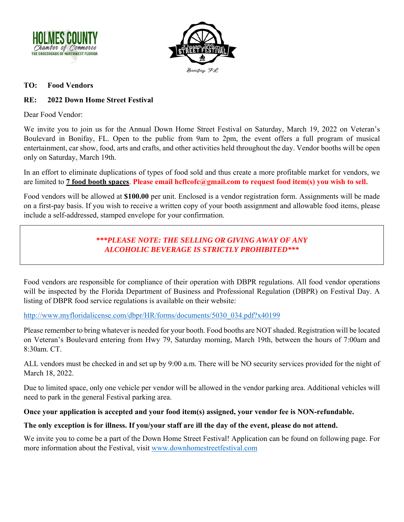



#### **TO: Food Vendors**

## **RE: 2022 Down Home Street Festival**

Dear Food Vendor:

We invite you to join us for the Annual Down Home Street Festival on Saturday, March 19, 2022 on Veteran's Boulevard in Bonifay, FL. Open to the public from 9am to 2pm, the event offers a full program of musical entertainment, car show, food, arts and crafts, and other activities held throughout the day. Vendor booths will be open only on Saturday, March 19th.

In an effort to eliminate duplications of types of food sold and thus create a more profitable market for vendors, we are limited to **7 food booth spaces**. **Please email hcflcofc@gmail.com to request food item(s) you wish to sell.**

Food vendors will be allowed at **\$100.00** per unit. Enclosed is a vendor registration form. Assignments will be made on a first-pay basis. If you wish to receive a written copy of your booth assignment and allowable food items, please include a self-addressed, stamped envelope for your confirmation.

# *\*\*\*PLEASE NOTE: THE SELLING OR GIVING AWAY OF ANY ALCOHOLIC BEVERAGE IS STRICTLY PROHIBITED\*\*\**

Food vendors are responsible for compliance of their operation with DBPR regulations. All food vendor operations will be inspected by the Florida Department of Business and Professional Regulation (DBPR) on Festival Day. A listing of DBPR food service regulations is available on their website:

#### http://www.myfloridalicense.com/dbpr/HR/forms/documents/5030\_034.pdf?x40199

Please remember to bring whatever is needed for your booth. Food booths are NOT shaded. Registration will be located on Veteran's Boulevard entering from Hwy 79, Saturday morning, March 19th, between the hours of 7:00am and 8:30am. CT.

ALL vendors must be checked in and set up by 9:00 a.m. There will be NO security services provided for the night of March 18, 2022.

Due to limited space, only one vehicle per vendor will be allowed in the vendor parking area. Additional vehicles will need to park in the general Festival parking area.

## **Once your application is accepted and your food item(s) assigned, your vendor fee is NON-refundable.**

## **The only exception is for illness. If you/your staff are ill the day of the event, please do not attend.**

We invite you to come be a part of the Down Home Street Festival! Application can be found on following page. For more information about the Festival, visit www.downhomestreetfestival.com